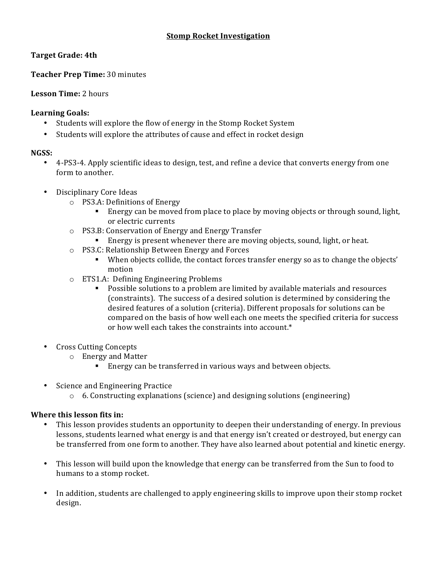#### **Stomp Rocket Investigation**

# **Target Grade: 4th**

# **Teacher Prep Time:** 30 minutes

### **Lesson Time:** 2 hours

### Learning **Goals**:

- Students will explore the flow of energy in the Stomp Rocket System
- Students will explore the attributes of cause and effect in rocket design

#### **NGSS:**

- 4-PS3-4. Apply scientific ideas to design, test, and refine a device that converts energy from one form to another.
- Disciplinary Core Ideas
	- $\circ$  PS3.A: Definitions of Energy
		- Energy can be moved from place to place by moving objects or through sound, light, or electric currents
	- o PS3.B: Conservation of Energy and Energy Transfer
		- **•** Energy is present whenever there are moving objects, sound, light, or heat.
	- $\circ$  PS3.C: Relationship Between Energy and Forces
		- When objects collide, the contact forces transfer energy so as to change the objects' motion
	- $\circ$  ETS1.A: Defining Engineering Problems
		- Possible solutions to a problem are limited by available materials and resources (constraints). The success of a desired solution is determined by considering the desired features of a solution (criteria). Different proposals for solutions can be compared on the basis of how well each one meets the specified criteria for success or how well each takes the constraints into account.\*
- Cross Cutting Concepts
	- o Energy and Matter
		- Energy can be transferred in various ways and between objects.
- Science and Engineering Practice
	- $\circ$  6. Constructing explanations (science) and designing solutions (engineering)

### **Where this lesson fits in:**

- This lesson provides students an opportunity to deepen their understanding of energy. In previous lessons, students learned what energy is and that energy isn't created or destroyed, but energy can be transferred from one form to another. They have also learned about potential and kinetic energy.
- This lesson will build upon the knowledge that energy can be transferred from the Sun to food to humans to a stomp rocket.
- In addition, students are challenged to apply engineering skills to improve upon their stomp rocket design.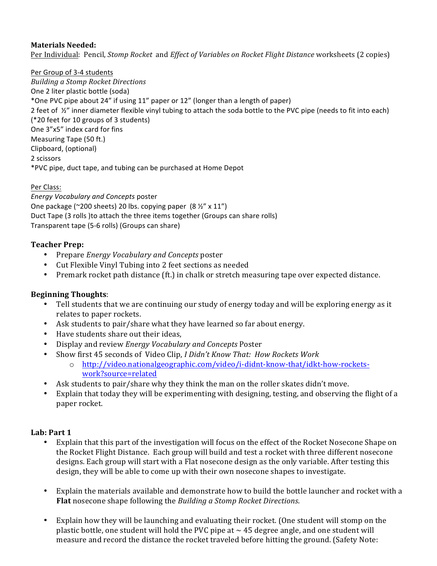# **Materials Needed:**

Per Individual: Pencil, *Stomp Rocket* and *Effect of Variables on Rocket Flight Distance* worksheets (2 copies)

Per Group of 3-4 students *Building a Stomp Rocket Directions* One 2 liter plastic bottle (soda) \*One PVC pipe about 24" if using 11" paper or 12" (longer than a length of paper) 2 feet of  $\frac{1}{2}$ " inner diameter flexible vinyl tubing to attach the soda bottle to the PVC pipe (needs to fit into each) (\*20 feet for 10 groups of 3 students) One 3"x5" index card for fins Measuring Tape (50 ft.) Clipboard, (optional) 2 scissors \*PVC pipe, duct tape, and tubing can be purchased at Home Depot

#### Per Class:

*Energy Vocabulary and Concepts* poster One package (~200 sheets) 20 lbs. copying paper  $(8 \frac{1}{2}$ " x 11") Duct Tape (3 rolls )to attach the three items together (Groups can share rolls) Transparent tape (5-6 rolls) (Groups can share)

### **Teacher Prep:**

- Prepare *Energy Vocabulary and Concepts* poster
- Cut Flexible Vinyl Tubing into 2 feet sections as needed
- Premark rocket path distance (ft.) in chalk or stretch measuring tape over expected distance.

### **Beginning Thoughts**:

- Tell students that we are continuing our study of energy today and will be exploring energy as it relates to paper rockets.
- Ask students to pair/share what they have learned so far about energy.
- Have students share out their ideas,
- Display and review *Energy Vocabulary and Concepts* Poster
- Show first 45 seconds of Video Clip, *I Didn't Know That: How Rockets Work* 
	- o http://video.nationalgeographic.com/video/i-didnt-know-that/idkt-how-rocketswork?source=related
- Ask students to pair/share why they think the man on the roller skates didn't move.
- Explain that today they will be experimenting with designing, testing, and observing the flight of a paper rocket.

### Lab: Part 1

- Explain that this part of the investigation will focus on the effect of the Rocket Nosecone Shape on the Rocket Flight Distance. Each group will build and test a rocket with three different nosecone designs. Each group will start with a Flat nosecone design as the only variable. After testing this design, they will be able to come up with their own nosecone shapes to investigate.
- Explain the materials available and demonstrate how to build the bottle launcher and rocket with a **Flat** nosecone shape following the *Building* a *Stomp Rocket Directions*.
- Explain how they will be launching and evaluating their rocket. (One student will stomp on the plastic bottle, one student will hold the PVC pipe at  $\sim$  45 degree angle, and one student will measure and record the distance the rocket traveled before hitting the ground. (Safety Note: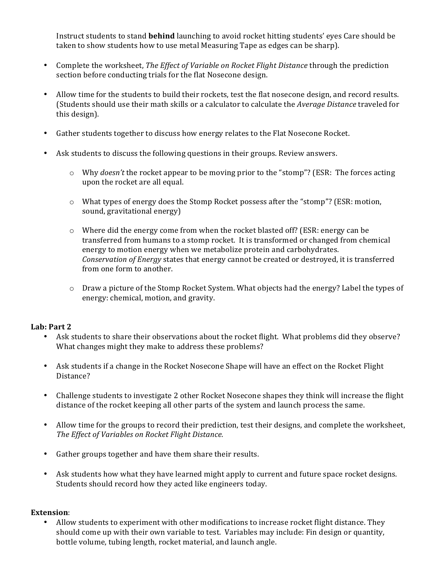Instruct students to stand **behind** launching to avoid rocket hitting students' eyes Care should be taken to show students how to use metal Measuring Tape as edges can be sharp).

- Complete the worksheet, *The Effect of Variable on Rocket Flight Distance* through the prediction section before conducting trials for the flat Nosecone design.
- Allow time for the students to build their rockets, test the flat nosecone design, and record results. (Students should use their math skills or a calculator to calculate the *Average Distance* traveled for this design).
- Gather students together to discuss how energy relates to the Flat Nosecone Rocket.
- Ask students to discuss the following questions in their groups. Review answers.
	- o Why *doesn't* the rocket appear to be moving prior to the "stomp"? (ESR: The forces acting upon the rocket are all equal.
	- $\circ$  What types of energy does the Stomp Rocket possess after the "stomp"? (ESR: motion, sound, gravitational energy)
	- $\circ$  Where did the energy come from when the rocket blasted off? (ESR: energy can be transferred from humans to a stomp rocket. It is transformed or changed from chemical energy to motion energy when we metabolize protein and carbohydrates. *Conservation of Energy* states that energy cannot be created or destroyed, it is transferred from one form to another.
	- $\circ$  Draw a picture of the Stomp Rocket System. What objects had the energy? Label the types of energy: chemical, motion, and gravity.

#### Lab: Part 2

- Ask students to share their observations about the rocket flight. What problems did they observe? What changes might they make to address these problems?
- Ask students if a change in the Rocket Nosecone Shape will have an effect on the Rocket Flight Distance?
- Challenge students to investigate 2 other Rocket Nosecone shapes they think will increase the flight distance of the rocket keeping all other parts of the system and launch process the same.
- Allow time for the groups to record their prediction, test their designs, and complete the worksheet, **The Effect of Variables on Rocket Flight Distance.**
- Gather groups together and have them share their results.
- Ask students how what they have learned might apply to current and future space rocket designs. Students should record how they acted like engineers today.

#### **Extension**:

Allow students to experiment with other modifications to increase rocket flight distance. They should come up with their own variable to test. Variables may include: Fin design or quantity, bottle volume, tubing length, rocket material, and launch angle.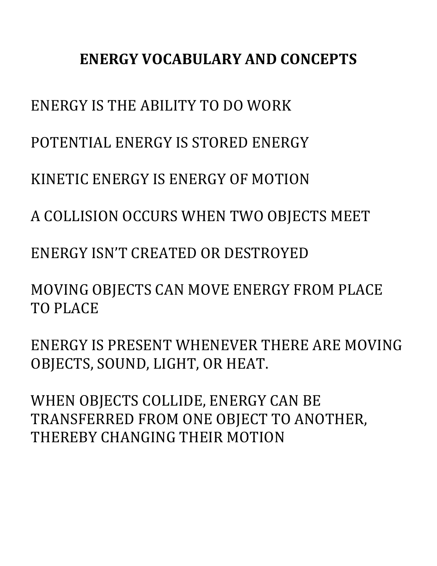# **ENERGY VOCABULARY AND CONCEPTS**

ENERGY IS THE ABILITY TO DO WORK

POTENTIAL ENERGY IS STORED ENERGY

KINETIC ENERGY IS ENERGY OF MOTION

A COLLISION OCCURS WHEN TWO OBJECTS MEET

ENERGY ISN'T CREATED OR DESTROYED

MOVING OBJECTS CAN MOVE ENERGY FROM PLACE TO PLACE

ENERGY IS PRESENT WHENEVER THERE ARE MOVING OBJECTS, SOUND, LIGHT, OR HEAT.

WHEN OBJECTS COLLIDE, ENERGY CAN BE TRANSFERRED FROM ONE OBJECT TO ANOTHER, THEREBY CHANGING THEIR MOTION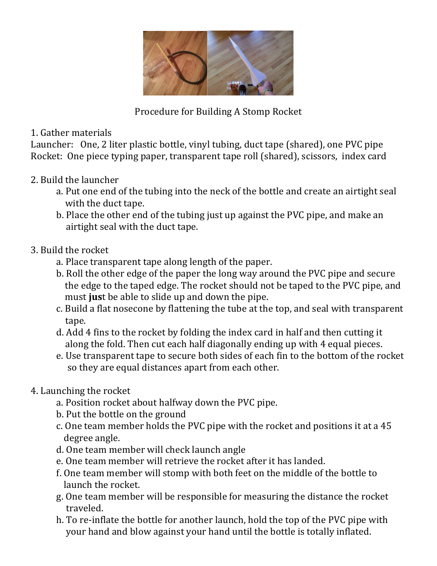

Procedure for Building A Stomp Rocket

# 1. Gather materials

Launcher: One, 2 liter plastic bottle, vinyl tubing, duct tape (shared), one PVC pipe Rocket: One piece typing paper, transparent tape roll (shared), scissors, index card

# 2. Build the launcher

- a. Put one end of the tubing into the neck of the bottle and create an airtight seal with the duct tape.
- b. Place the other end of the tubing just up against the PVC pipe, and make an airtight seal with the duct tape.

# 3. Build the rocket

- a. Place transparent tape along length of the paper.
- b. Roll the other edge of the paper the long way around the PVC pipe and secure the edge to the taped edge. The rocket should not be taped to the PVC pipe, and must just be able to slide up and down the pipe.
- c. Build a flat nosecone by flattening the tube at the top, and seal with transparent tape.
- d. Add 4 fins to the rocket by folding the index card in half and then cutting it along the fold. Then cut each half diagonally ending up with 4 equal pieces.
- e. Use transparent tape to secure both sides of each fin to the bottom of the rocket so they are equal distances apart from each other.

# 4. Launching the rocket

- a. Position rocket about halfway down the PVC pipe.
- b. Put the bottle on the ground
- c. One team member holds the PVC pipe with the rocket and positions it at a 45 degree angle.
- d. One team member will check launch angle
- e. One team member will retrieve the rocket after it has landed.
- f. One team member will stomp with both feet on the middle of the bottle to launch the rocket.
- g. One team member will be responsible for measuring the distance the rocket traveled.
- h. To re-inflate the bottle for another launch, hold the top of the PVC pipe with your hand and blow against your hand until the bottle is totally inflated.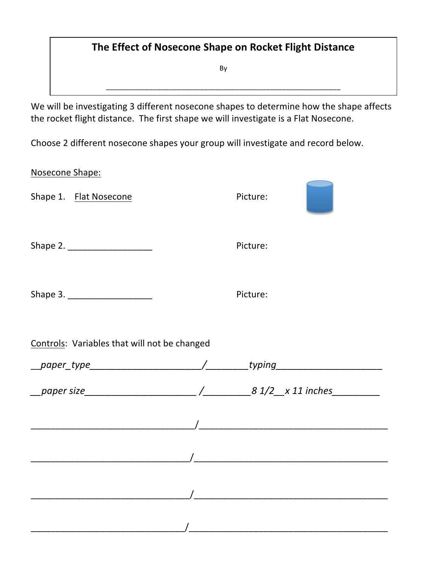# **The Effect of Nosecone Shape on Rocket Flight Distance**

By

\_\_\_\_\_\_\_\_\_\_\_\_\_\_\_\_\_\_\_\_\_\_\_\_\_\_\_\_\_\_\_\_\_\_\_\_\_\_\_\_\_\_\_\_\_\_\_\_\_\_\_\_\_\_\_\_\_\_\_\_

We will be investigating 3 different nosecone shapes to determine how the shape affects the rocket flight distance. The first shape we will investigate is a Flat Nosecone.

Choose 2 different nosecone shapes your group will investigate and record below.

|                                              | Picture: |                                                                                  |
|----------------------------------------------|----------|----------------------------------------------------------------------------------|
|                                              | Picture: |                                                                                  |
| Shape 3.<br>Picture:                         |          |                                                                                  |
| Controls: Variables that will not be changed |          |                                                                                  |
|                                              |          |                                                                                  |
|                                              |          |                                                                                  |
|                                              |          |                                                                                  |
|                                              |          |                                                                                  |
|                                              |          |                                                                                  |
|                                              |          |                                                                                  |
|                                              |          | __paper_type___________________________/_________typing_________________________ |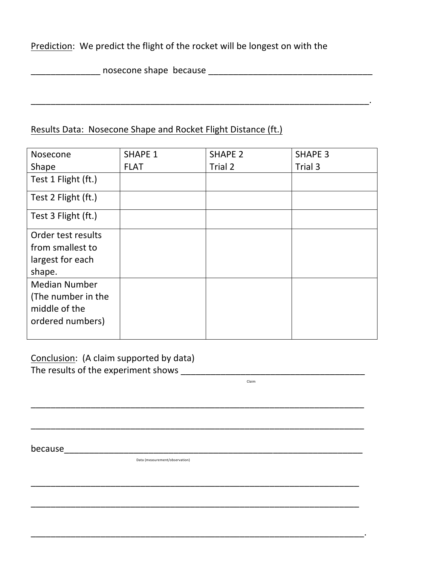Prediction: We predict the flight of the rocket will be longest on with the

\_\_\_\_\_\_\_\_\_\_\_\_\_\_ nosecone shape because \_\_\_\_\_\_\_\_\_\_\_\_\_\_\_\_\_\_\_\_\_\_\_\_\_\_\_\_\_\_\_\_\_

# Results Data: Nosecone Shape and Rocket Flight Distance (ft.)

| Nosecone                                                                        | <b>SHAPE 1</b> | <b>SHAPE 2</b> | <b>SHAPE 3</b> |
|---------------------------------------------------------------------------------|----------------|----------------|----------------|
| Shape                                                                           | <b>FLAT</b>    | Trial 2        | Trial 3        |
| Test 1 Flight (ft.)                                                             |                |                |                |
| Test 2 Flight (ft.)                                                             |                |                |                |
| Test 3 Flight (ft.)                                                             |                |                |                |
| Order test results<br>from smallest to<br>largest for each<br>shape.            |                |                |                |
| <b>Median Number</b><br>(The number in the<br>middle of the<br>ordered numbers) |                |                |                |

\_\_\_\_\_\_\_\_\_\_\_\_\_\_\_\_\_\_\_\_\_\_\_\_\_\_\_\_\_\_\_\_\_\_\_\_\_\_\_\_\_\_\_\_\_\_\_\_\_\_\_\_\_\_\_\_\_\_\_\_\_\_\_\_\_\_\_

\_\_\_\_\_\_\_\_\_\_\_\_\_\_\_\_\_\_\_\_\_\_\_\_\_\_\_\_\_\_\_\_\_\_\_\_\_\_\_\_\_\_\_\_\_\_\_\_\_\_\_\_\_\_\_\_\_\_\_\_\_\_\_\_\_\_\_

\_\_\_\_\_\_\_\_\_\_\_\_\_\_\_\_\_\_\_\_\_\_\_\_\_\_\_\_\_\_\_\_\_\_\_\_\_\_\_\_\_\_\_\_\_\_\_\_\_\_\_\_\_\_\_\_\_\_\_\_\_\_\_\_\_\_

\_\_\_\_\_\_\_\_\_\_\_\_\_\_\_\_\_\_\_\_\_\_\_\_\_\_\_\_\_\_\_\_\_\_\_\_\_\_\_\_\_\_\_\_\_\_\_\_\_\_\_\_\_\_\_\_\_\_\_\_\_\_\_\_\_\_

\_\_\_\_\_\_\_\_\_\_\_\_\_\_\_\_\_\_\_\_\_\_\_\_\_\_\_\_\_\_\_\_\_\_\_\_\_\_\_\_\_\_\_\_\_\_\_\_\_\_\_\_\_\_\_\_\_\_\_\_\_\_\_\_\_\_\_.

\_\_\_\_\_\_\_\_\_\_\_\_\_\_\_\_\_\_\_\_\_\_\_\_\_\_\_\_\_\_\_\_\_\_\_\_\_\_\_\_\_\_\_\_\_\_\_\_\_\_\_\_\_\_\_\_\_\_\_\_\_\_\_\_\_\_\_\_.

Conclusion: (A claim supported by data) The results of the experiment shows \_\_\_\_\_\_\_\_\_\_\_\_\_\_\_\_\_\_\_\_\_\_\_\_\_\_\_\_\_\_\_\_\_\_\_\_\_

 Claim

because\_\_\_\_\_\_\_\_\_\_\_\_\_\_\_\_\_\_\_\_\_\_\_\_\_\_\_\_\_\_\_\_\_\_\_\_\_\_\_\_\_\_\_\_\_\_\_\_\_\_\_\_\_\_\_\_\_\_\_\_

 Data (measurement/observation)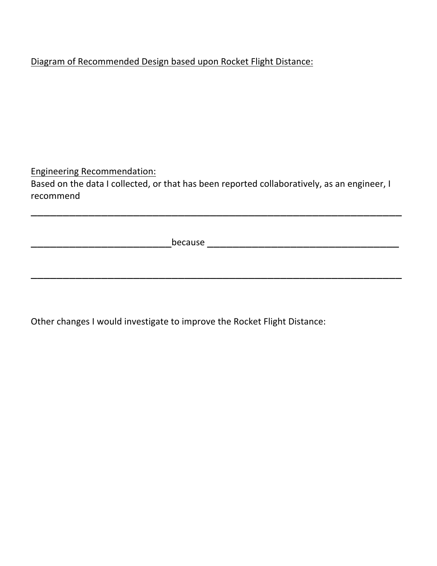# Diagram of Recommended Design based upon Rocket Flight Distance:

**Engineering Recommendation:** Based on the data I collected, or that has been reported collaboratively, as an engineer, I recommend 

\_\_\_\_\_\_\_\_\_\_\_\_\_\_\_\_\_\_\_\_\_\_\_\_\_\_\_\_\_\_\_\_\_\_\_\_\_\_\_\_\_\_\_\_\_\_\_\_\_\_\_\_\_\_\_\_\_\_

\_\_\_\_\_\_\_\_\_\_\_\_\_\_\_\_\_\_\_\_\_\_\_\_\_\_\_\_\_\_\_\_\_\_\_\_\_\_\_\_\_\_\_\_\_\_\_\_\_\_\_\_\_\_\_\_\_\_

\_\_\_\_\_\_\_\_\_\_\_\_\_\_\_\_\_\_\_\_\_\_because \_\_\_\_\_\_\_\_\_\_\_\_\_\_\_\_\_\_\_\_\_\_\_\_\_\_\_\_\_\_

Other changes I would investigate to improve the Rocket Flight Distance: